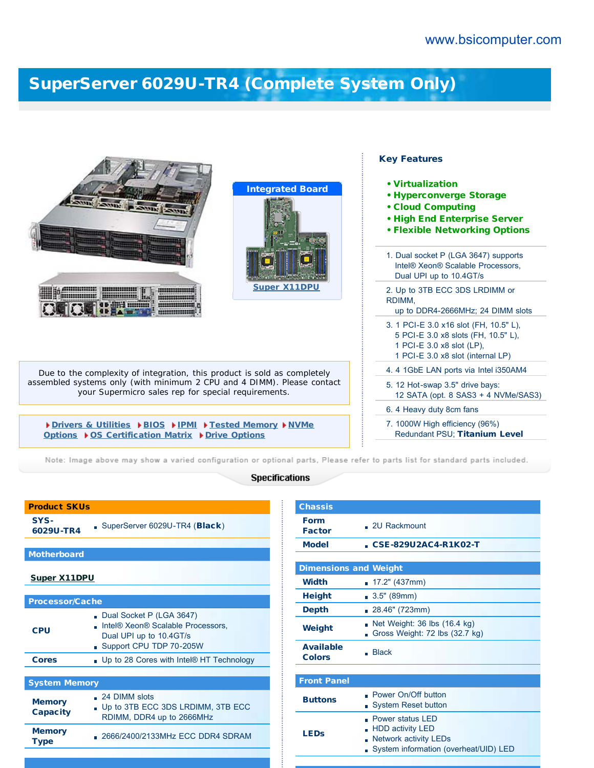## [SuperServer 6029U-TR4 \(Complete System Only\)](http://www.bsicomputer.com/products/6029u-tr4-16393)

| <b>Integrated Board</b>                                                                                                       | <b>Key Features</b><br>• Virtualization<br><b>· Hyperconverge Storage</b><br>• Cloud Computing<br>. High End Enterprise Server<br><b>• Flexible Networking Options</b> |
|-------------------------------------------------------------------------------------------------------------------------------|------------------------------------------------------------------------------------------------------------------------------------------------------------------------|
|                                                                                                                               | 1. Dual socket P (LGA 3647) supports<br>Intel® Xeon® Scalable Processors,<br>Dual UPI up to 10.4GT/s                                                                   |
| <b>Super X11DPU</b>                                                                                                           | 2. Up to 3TB ECC 3DS LRDIMM or<br>RDIMM,<br>up to DDR4-2666MHz; 24 DIMM slots                                                                                          |
|                                                                                                                               | 3. 1 PCI-E 3.0 x16 slot (FH, 10.5" L),<br>5 PCI-E 3.0 x8 slots (FH, 10.5" L),<br>1 PCI-E 3.0 x8 slot (LP),<br>1 PCI-E 3.0 x8 slot (internal LP)                        |
| Due to the complexity of integration, this product is sold as completely                                                      | 4. 4 1GbE LAN ports via Intel i350AM4                                                                                                                                  |
| assembled systems only (with minimum 2 CPU and 4 DIMM). Please contact<br>your Supermicro sales rep for special requirements. | 5. 12 Hot-swap 3.5" drive bays:<br>12 SATA (opt. 8 SAS3 + 4 NVMe/SAS3)                                                                                                 |
|                                                                                                                               | 6. 4 Heavy duty 8cm fans                                                                                                                                               |
| Drivers & Utilities DBIOS DIPMI DFested Memory DNVMe<br>Options ▶ OS Certification Matrix ▶ Drive Options                     | 7. 1000W High efficiency (96%)<br>Redundant PSU: Titanium Level                                                                                                        |

Note: Image above may show a varied configuration or optional parts, Please refer to parts list for standard parts included.

## **Specifications**

| <b>Product SKUs</b>              |                                                                                                                     |  |  |  |
|----------------------------------|---------------------------------------------------------------------------------------------------------------------|--|--|--|
| SYS-<br>6029U-TR4                | SuperServer 6029U-TR4 (Black)                                                                                       |  |  |  |
|                                  |                                                                                                                     |  |  |  |
| <b>Motherboard</b>               |                                                                                                                     |  |  |  |
| <b>Super X11DPU</b>              |                                                                                                                     |  |  |  |
|                                  |                                                                                                                     |  |  |  |
| <b>Processor/Cache</b>           |                                                                                                                     |  |  |  |
| CPU                              | Dual Socket P (LGA 3647)<br>Intel® Xeon® Scalable Processors,<br>Dual UPI up to 10.4GT/s<br>Support CPU TDP 70-205W |  |  |  |
| <b>Cores</b>                     | . Up to 28 Cores with Intel® HT Technology                                                                          |  |  |  |
|                                  |                                                                                                                     |  |  |  |
| <b>System Memory</b>             |                                                                                                                     |  |  |  |
| <b>Memory</b><br><b>Capacity</b> | $\Box$ 24 DIMM slots<br>Up to 3TB ECC 3DS LRDIMM, 3TB ECC<br>RDIMM, DDR4 up to 2666MHz                              |  |  |  |
| <b>Memory</b><br><b>Type</b>     | . 2666/2400/2133MHz ECC DDR4 SDRAM                                                                                  |  |  |  |

| <b>Chassis</b>                    |                                                                                                                       |  |  |
|-----------------------------------|-----------------------------------------------------------------------------------------------------------------------|--|--|
| <b>Form</b><br><b>Factor</b>      | . 2U Rackmount                                                                                                        |  |  |
| <b>Model</b>                      | CSE-829U2AC4-R1K02-T                                                                                                  |  |  |
|                                   |                                                                                                                       |  |  |
| <b>Dimensions and Weight</b>      |                                                                                                                       |  |  |
| <b>Width</b>                      | <b>17.2"</b> (437mm)                                                                                                  |  |  |
| <b>Height</b>                     | 3.5" (89mm)                                                                                                           |  |  |
| <b>Depth</b>                      | ■ 28.46" (723mm)                                                                                                      |  |  |
| Weight                            | Net Weight: 36 lbs (16.4 kg)<br>h<br>Gross Weight: 72 lbs (32.7 kg)                                                   |  |  |
| <b>Available</b><br><b>Colors</b> | <b>Black</b><br>÷.                                                                                                    |  |  |
|                                   |                                                                                                                       |  |  |
| <b>Front Panel</b>                |                                                                                                                       |  |  |
| <b>Buttons</b>                    | • Power On/Off button<br><b>System Reset button</b><br>n                                                              |  |  |
| <b>LEDs</b>                       | Power status I FD<br><b>HDD activity LED</b><br><b>Network activity LEDs</b><br>System information (overheat/UID) LED |  |  |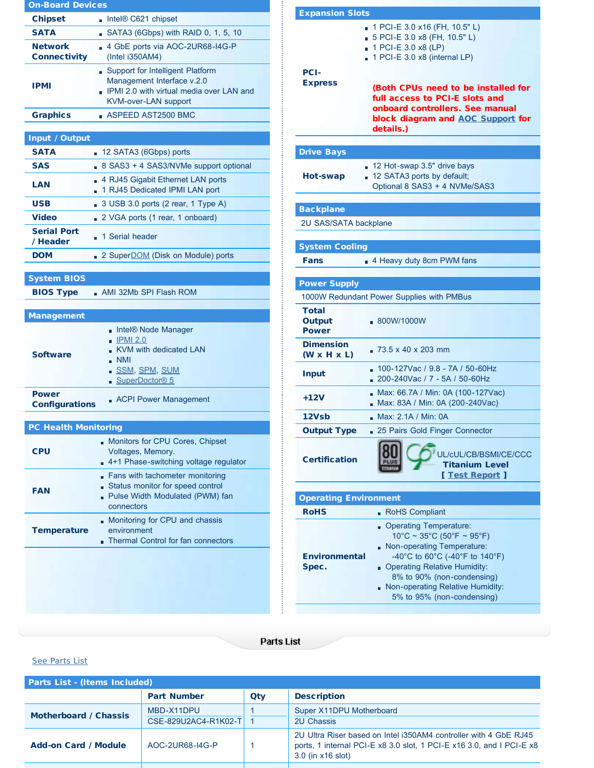| <b>On-Board Devices</b>               |                                                                                                                                      |  |  |
|---------------------------------------|--------------------------------------------------------------------------------------------------------------------------------------|--|--|
| <b>Chipset</b>                        | Intel® C621 chipset                                                                                                                  |  |  |
| <b>SATA</b>                           | SATA3 (6Gbps) with RAID 0, 1, 5, 10                                                                                                  |  |  |
| <b>Network</b><br><b>Connectivity</b> | 4 GbE ports via AOC-2UR68-I4G-P<br>(Intel i350AM4)                                                                                   |  |  |
| <b>IPMI</b>                           | Support for Intelligent Platform<br>Management Interface v.2.0<br>. IPMI 2.0 with virtual media over LAN and<br>KVM-over-LAN support |  |  |
| <b>Graphics</b>                       | ASPEED AST2500 BMC                                                                                                                   |  |  |
|                                       |                                                                                                                                      |  |  |
| <b>Input / Output</b><br><b>SATA</b>  |                                                                                                                                      |  |  |
| <b>SAS</b>                            | 12 SATA3 (6Gbps) ports<br>m.                                                                                                         |  |  |
| LAN                                   | 8 SAS3 + 4 SAS3/NVMe support optional<br>4 RJ45 Gigabit Ethernet LAN ports<br>1 RJ45 Dedicated IPMI LAN port                         |  |  |
| <b>USB</b>                            | 3 USB 3.0 ports (2 rear, 1 Type A)                                                                                                   |  |  |
| <b>Video</b>                          | 2 VGA ports (1 rear, 1 onboard)                                                                                                      |  |  |
| <b>Serial Port</b><br>/ Header        | 1 Serial header<br>m.                                                                                                                |  |  |
| <b>DOM</b>                            | 2 Super <b>DOM</b> (Disk on Module) ports                                                                                            |  |  |
|                                       |                                                                                                                                      |  |  |
| <b>System BIOS</b>                    |                                                                                                                                      |  |  |
| <b>BIOS Type</b>                      | AMI 32Mb SPI Flash ROM                                                                                                               |  |  |
| <b>Management</b>                     |                                                                                                                                      |  |  |
| <b>Software</b>                       | Intel® Node Manager<br><b>IPMI 2.0</b><br><b>KVM with dedicated LAN</b><br><b>NMI</b><br><u>- SSM, SPM, SUM</u><br>SuperDoctor® 5    |  |  |
| <b>Power</b><br><b>Configurations</b> | • ACPI Power Management                                                                                                              |  |  |
| <b>PC Health Monitoring</b>           |                                                                                                                                      |  |  |
| <b>CPU</b>                            | Monitors for CPU Cores, Chipset<br>Voltages, Memory.<br>4+1 Phase-switching voltage regulator                                        |  |  |
| <b>FAN</b>                            | Fans with tachometer monitoring<br>Status monitor for speed control<br>Pulse Width Modulated (PWM) fan<br>connectors                 |  |  |
| <b>Temperature</b>                    | Monitoring for CPU and chassis<br>environment<br>Thermal Control for fan connectors                                                  |  |  |
|                                       |                                                                                                                                      |  |  |

| <b>Expansion Slots</b>                      |                                                                                                                                                                                                                                                                                    |
|---------------------------------------------|------------------------------------------------------------------------------------------------------------------------------------------------------------------------------------------------------------------------------------------------------------------------------------|
| <b>PCI-</b><br><b>Express</b>               | 1 PCI-E 3.0 x16 (FH, 10.5" L)<br>5 PCI-E 3.0 x8 (FH, 10.5" L)<br>1 PCI-E 3.0 x8 (LP)<br>1 PCI-E 3.0 x8 (internal LP)<br>(Both CPUs need to be installed for<br>full access to PCI-E slots and<br>onboard controllers. See manual<br>block diagram and AOC Support for<br>details.) |
| <b>Drive Bays</b>                           |                                                                                                                                                                                                                                                                                    |
| Hot-swap                                    | 12 Hot-swap 3.5" drive bays<br>. 12 SATA3 ports by default;<br>Optional 8 SAS3 + 4 NVMe/SAS3                                                                                                                                                                                       |
|                                             |                                                                                                                                                                                                                                                                                    |
| <b>Backplane</b><br>2U SAS/SATA backplane   |                                                                                                                                                                                                                                                                                    |
|                                             |                                                                                                                                                                                                                                                                                    |
| <b>System Cooling</b>                       |                                                                                                                                                                                                                                                                                    |
| <b>Fans</b>                                 | 4 Heavy duty 8cm PWM fans                                                                                                                                                                                                                                                          |
|                                             |                                                                                                                                                                                                                                                                                    |
| <b>Power Supply</b>                         |                                                                                                                                                                                                                                                                                    |
|                                             | 1000W Redundant Power Supplies with PMBus                                                                                                                                                                                                                                          |
| <b>Total</b><br>Output<br><b>Power</b>      | .800W/1000W                                                                                                                                                                                                                                                                        |
| <b>Dimension</b><br>$(W \times H \times L)$ | 73.5 x 40 x 203 mm<br>n                                                                                                                                                                                                                                                            |
| <b>Input</b>                                | 100-127Vac / 9.8 - 7A / 50-60Hz<br>200-240Vac / 7 - 5A / 50-60Hz                                                                                                                                                                                                                   |
| $+12V$                                      | Max: 66.7A / Min: 0A (100-127Vac)<br>Max: 83A / Min: 0A (200-240Vac)                                                                                                                                                                                                               |
| 12Vsb                                       | Max: 2.1A / Min: 0A                                                                                                                                                                                                                                                                |
| <b>Output Type</b>                          | 25 Pairs Gold Finger Connector                                                                                                                                                                                                                                                     |
| <b>Certification</b>                        | UL/cUL/CB/BSMI/CE/CCC<br><b>Titanium Level</b><br>[ Test Report ]                                                                                                                                                                                                                  |
| <b>Operating Environment</b>                |                                                                                                                                                                                                                                                                                    |
| <b>RoHS</b>                                 | RoHS Compliant                                                                                                                                                                                                                                                                     |
| <b>Environmental</b><br>Spec.               | Operating Temperature:<br>$10^{\circ}$ C ~ 35°C (50°F ~ 95°F)<br>Non-operating Temperature:<br>-40°C to 60°C (-40°F to 140°F)<br><b>Operating Relative Humidity:</b><br>8% to 90% (non-condensing)<br>Non-operating Relative Humidity:<br>5% to 95% (non-condensing)               |

## Parts List

## <span id="page-1-0"></span>[See Parts List](#page-1-0)

| <b>Parts List - (Items Included)</b> |                                    |     |                                                                                                                                                               |
|--------------------------------------|------------------------------------|-----|---------------------------------------------------------------------------------------------------------------------------------------------------------------|
|                                      | <b>Part Number</b>                 | Qty | <b>Description</b>                                                                                                                                            |
| <b>Motherboard / Chassis</b>         | MBD-X11DPU<br>CSE-829U2AC4-R1K02-T |     | Super X11DPU Motherboard<br><b>2U Chassis</b>                                                                                                                 |
| <b>Add-on Card / Module</b>          | AOC-2UR68-I4G-P                    |     | 2U Ultra Riser based on Intel i350AM4 controller with 4 GbE RJ45<br>ports, 1 internal PCI-E x8 3.0 slot, 1 PCI-E x16 3.0, and I PCI-E x8<br>3.0 (in x16 slot) |
|                                      |                                    |     |                                                                                                                                                               |